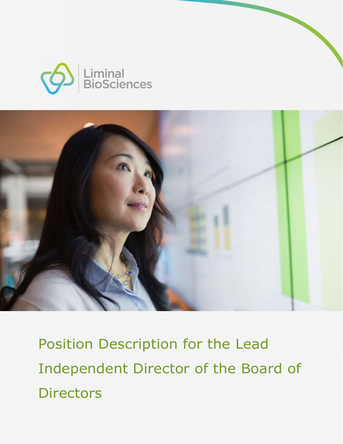



Position Description for the Lead Independent Director of the Board of **Directors**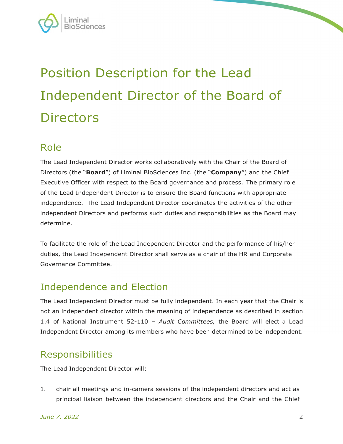

# Position Description for the Lead Independent Director of the Board of **Directors**

### Role

The Lead Independent Director works collaboratively with the Chair of the Board of Directors (the "Board") of Liminal BioSciences Inc. (the "Company") and the Chief Executive Officer with respect to the Board governance and process. The primary role of the Lead Independent Director is to ensure the Board functions with appropriate independence. The Lead Independent Director coordinates the activities of the other independent Directors and performs such duties and responsibilities as the Board may determine.

To facilitate the role of the Lead Independent Director and the performance of his/her duties, the Lead Independent Director shall serve as a chair of the HR and Corporate Governance Committee.

# Independence and Election

The Lead Independent Director must be fully independent. In each year that the Chair is not an independent director within the meaning of independence as described in section 1.4 of National Instrument 52-110 – Audit Committees, the Board will elect a Lead Independent Director among its members who have been determined to be independent.

## Responsibilities

The Lead Independent Director will:

1. chair all meetings and in-camera sessions of the independent directors and act as principal liaison between the independent directors and the Chair and the Chief